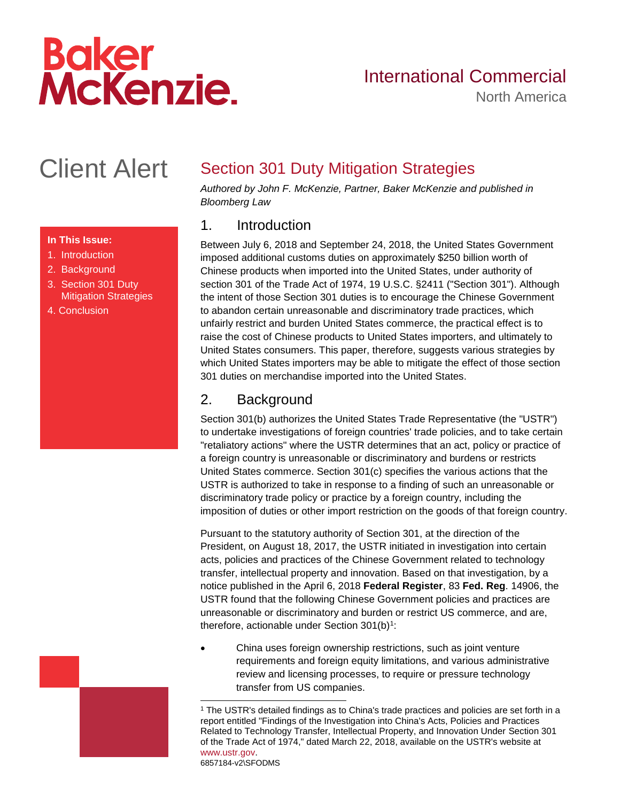# **Baker<br>McKenzie.**

# International Commercial

North America

# Client Alert

#### **In This Issue:**

- 1. [Introduction](#page-0-0)
- 2. [Background](#page-0-1)
- 3. [Section 301 Duty](#page-2-0)  [Mitigation Strategies](#page-2-0)
- [4. Conclusion](#page-14-0)

## Section 301 Duty Mitigation Strategies

*Authored by John F. McKenzie, Partner, Baker McKenzie and published in Bloomberg Law*

#### <span id="page-0-0"></span>1. Introduction

Between July 6, 2018 and September 24, 2018, the United States Government imposed additional customs duties on approximately \$250 billion worth of Chinese products when imported into the United States, under authority of section 301 of the Trade Act of 1974, 19 U.S.C. §2411 ("Section 301"). Although the intent of those Section 301 duties is to encourage the Chinese Government to abandon certain unreasonable and discriminatory trade practices, which unfairly restrict and burden United States commerce, the practical effect is to raise the cost of Chinese products to United States importers, and ultimately to United States consumers. This paper, therefore, suggests various strategies by which United States importers may be able to mitigate the effect of those section 301 duties on merchandise imported into the United States.

#### <span id="page-0-1"></span>2. Background

Section 301(b) authorizes the United States Trade Representative (the "USTR") to undertake investigations of foreign countries' trade policies, and to take certain "retaliatory actions" where the USTR determines that an act, policy or practice of a foreign country is unreasonable or discriminatory and burdens or restricts United States commerce. Section 301(c) specifies the various actions that the USTR is authorized to take in response to a finding of such an unreasonable or discriminatory trade policy or practice by a foreign country, including the imposition of duties or other import restriction on the goods of that foreign country.

Pursuant to the statutory authority of Section 301, at the direction of the President, on August 18, 2017, the USTR initiated in investigation into certain acts, policies and practices of the Chinese Government related to technology transfer, intellectual property and innovation. Based on that investigation, by a notice published in the April 6, 2018 **Federal Register**, 83 **Fed. Reg**. 14906, the USTR found that the following Chinese Government policies and practices are unreasonable or discriminatory and burden or restrict US commerce, and are, therefore, actionable under Section 301(b)<sup>1</sup>:

 China uses foreign ownership restrictions, such as joint venture requirements and foreign equity limitations, and various administrative review and licensing processes, to require or pressure technology transfer from US companies.

6857184-v2\SFODMS

<sup>1</sup> The USTR's detailed findings as to China's trade practices and policies are set forth in a report entitled "Findings of the Investigation into China's Acts, Policies and Practices Related to Technology Transfer, Intellectual Property, and Innovation Under Section 301 of the Trade Act of 1974," dated March 22, 2018, available on the USTR's website at [www.ustr.gov.](http://www.ustr.gov/)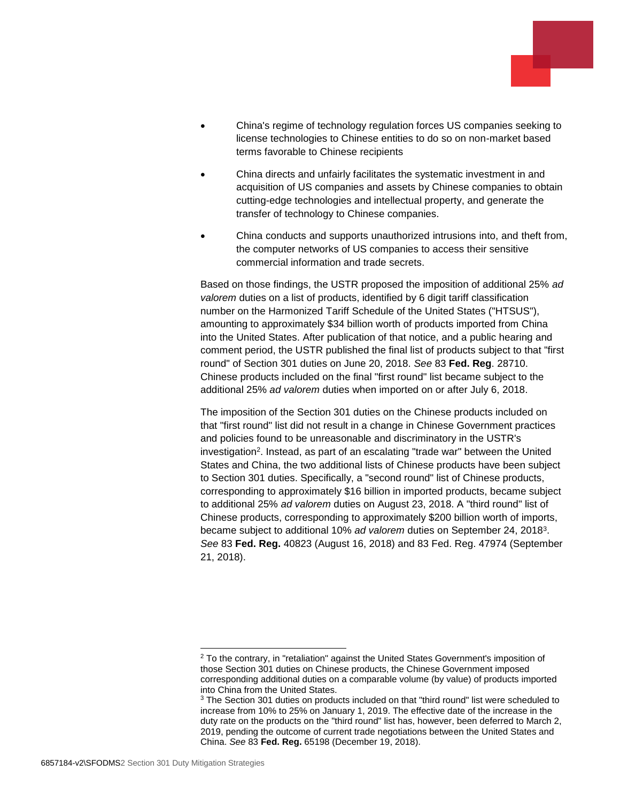

- China's regime of technology regulation forces US companies seeking to license technologies to Chinese entities to do so on non-market based terms favorable to Chinese recipients
- China directs and unfairly facilitates the systematic investment in and acquisition of US companies and assets by Chinese companies to obtain cutting-edge technologies and intellectual property, and generate the transfer of technology to Chinese companies.
- China conducts and supports unauthorized intrusions into, and theft from, the computer networks of US companies to access their sensitive commercial information and trade secrets.

Based on those findings, the USTR proposed the imposition of additional 25% *ad valorem* duties on a list of products, identified by 6 digit tariff classification number on the Harmonized Tariff Schedule of the United States ("HTSUS"), amounting to approximately \$34 billion worth of products imported from China into the United States. After publication of that notice, and a public hearing and comment period, the USTR published the final list of products subject to that "first round" of Section 301 duties on June 20, 2018. *See* 83 **Fed. Reg**. 28710. Chinese products included on the final "first round" list became subject to the additional 25% *ad valorem* duties when imported on or after July 6, 2018.

The imposition of the Section 301 duties on the Chinese products included on that "first round" list did not result in a change in Chinese Government practices and policies found to be unreasonable and discriminatory in the USTR's investigation<sup>2</sup>. Instead, as part of an escalating "trade war" between the United States and China, the two additional lists of Chinese products have been subject to Section 301 duties. Specifically, a "second round" list of Chinese products, corresponding to approximately \$16 billion in imported products, became subject to additional 25% *ad valorem* duties on August 23, 2018. A "third round" list of Chinese products, corresponding to approximately \$200 billion worth of imports, became subject to additional 10% *ad valorem* duties on September 24, 2018<sup>3</sup> . *See* 83 **Fed. Reg.** 40823 (August 16, 2018) and 83 Fed. Reg. 47974 (September 21, 2018).

 $2$  To the contrary, in "retaliation" against the United States Government's imposition of those Section 301 duties on Chinese products, the Chinese Government imposed corresponding additional duties on a comparable volume (by value) of products imported into China from the United States.

<sup>&</sup>lt;sup>3</sup> The Section 301 duties on products included on that "third round" list were scheduled to increase from 10% to 25% on January 1, 2019. The effective date of the increase in the duty rate on the products on the "third round" list has, however, been deferred to March 2, 2019, pending the outcome of current trade negotiations between the United States and China. *See* 83 **Fed. Reg.** 65198 (December 19, 2018).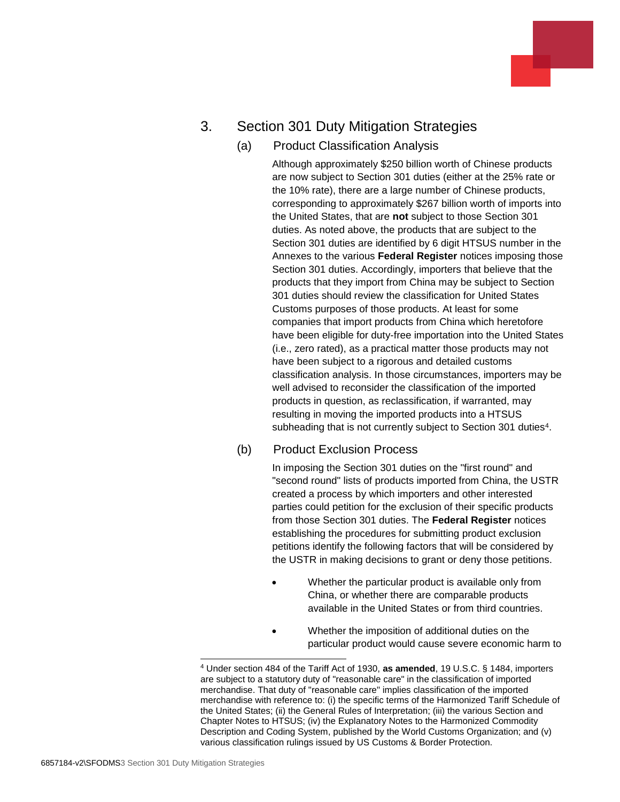### <span id="page-2-0"></span>3. Section 301 Duty Mitigation Strategies

#### (a) Product Classification Analysis

Although approximately \$250 billion worth of Chinese products are now subject to Section 301 duties (either at the 25% rate or the 10% rate), there are a large number of Chinese products, corresponding to approximately \$267 billion worth of imports into the United States, that are **not** subject to those Section 301 duties. As noted above, the products that are subject to the Section 301 duties are identified by 6 digit HTSUS number in the Annexes to the various **Federal Register** notices imposing those Section 301 duties. Accordingly, importers that believe that the products that they import from China may be subject to Section 301 duties should review the classification for United States Customs purposes of those products. At least for some companies that import products from China which heretofore have been eligible for duty-free importation into the United States (i.e., zero rated), as a practical matter those products may not have been subject to a rigorous and detailed customs classification analysis. In those circumstances, importers may be well advised to reconsider the classification of the imported products in question, as reclassification, if warranted, may resulting in moving the imported products into a HTSUS subheading that is not currently subject to Section 301 duties<sup>4</sup>.

#### (b) Product Exclusion Process

In imposing the Section 301 duties on the "first round" and "second round" lists of products imported from China, the USTR created a process by which importers and other interested parties could petition for the exclusion of their specific products from those Section 301 duties. The **Federal Register** notices establishing the procedures for submitting product exclusion petitions identify the following factors that will be considered by the USTR in making decisions to grant or deny those petitions.

- Whether the particular product is available only from China, or whether there are comparable products available in the United States or from third countries.
- Whether the imposition of additional duties on the particular product would cause severe economic harm to

l <sup>4</sup> Under section 484 of the Tariff Act of 1930, **as amended**, 19 U.S.C. § 1484, importers are subject to a statutory duty of "reasonable care" in the classification of imported merchandise. That duty of "reasonable care" implies classification of the imported merchandise with reference to: (i) the specific terms of the Harmonized Tariff Schedule of the United States; (ii) the General Rules of Interpretation; (iii) the various Section and Chapter Notes to HTSUS; (iv) the Explanatory Notes to the Harmonized Commodity Description and Coding System, published by the World Customs Organization; and (v) various classification rulings issued by US Customs & Border Protection.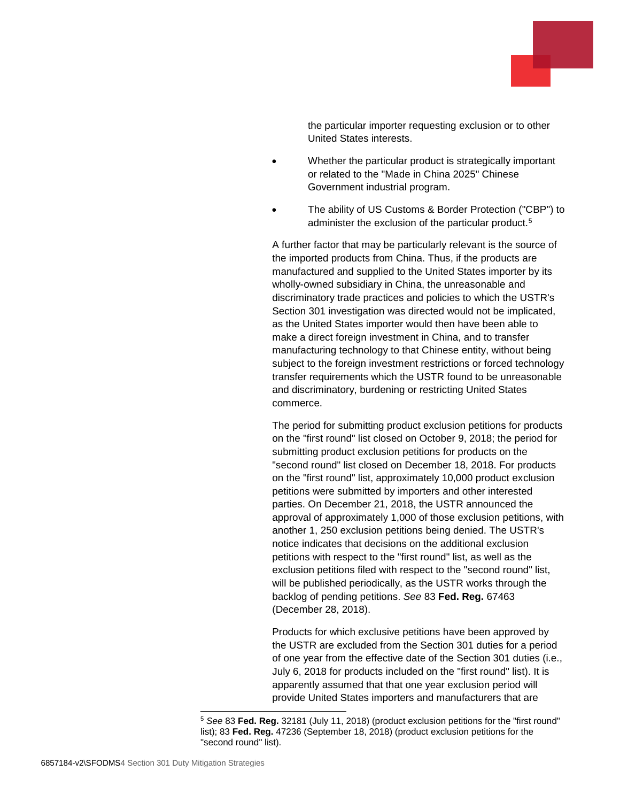

the particular importer requesting exclusion or to other United States interests.

- Whether the particular product is strategically important or related to the "Made in China 2025" Chinese Government industrial program.
- The ability of US Customs & Border Protection ("CBP") to administer the exclusion of the particular product.<sup>5</sup>

A further factor that may be particularly relevant is the source of the imported products from China. Thus, if the products are manufactured and supplied to the United States importer by its wholly-owned subsidiary in China, the unreasonable and discriminatory trade practices and policies to which the USTR's Section 301 investigation was directed would not be implicated, as the United States importer would then have been able to make a direct foreign investment in China, and to transfer manufacturing technology to that Chinese entity, without being subject to the foreign investment restrictions or forced technology transfer requirements which the USTR found to be unreasonable and discriminatory, burdening or restricting United States commerce.

The period for submitting product exclusion petitions for products on the "first round" list closed on October 9, 2018; the period for submitting product exclusion petitions for products on the "second round" list closed on December 18, 2018. For products on the "first round" list, approximately 10,000 product exclusion petitions were submitted by importers and other interested parties. On December 21, 2018, the USTR announced the approval of approximately 1,000 of those exclusion petitions, with another 1, 250 exclusion petitions being denied. The USTR's notice indicates that decisions on the additional exclusion petitions with respect to the "first round" list, as well as the exclusion petitions filed with respect to the "second round" list, will be published periodically, as the USTR works through the backlog of pending petitions. *See* 83 **Fed. Reg.** 67463 (December 28, 2018).

Products for which exclusive petitions have been approved by the USTR are excluded from the Section 301 duties for a period of one year from the effective date of the Section 301 duties (i.e., July 6, 2018 for products included on the "first round" list). It is apparently assumed that that one year exclusion period will provide United States importers and manufacturers that are

<sup>5</sup> *See* 83 **Fed. Reg.** 32181 (July 11, 2018) (product exclusion petitions for the "first round" list); 83 **Fed. Reg.** 47236 (September 18, 2018) (product exclusion petitions for the "second round" list).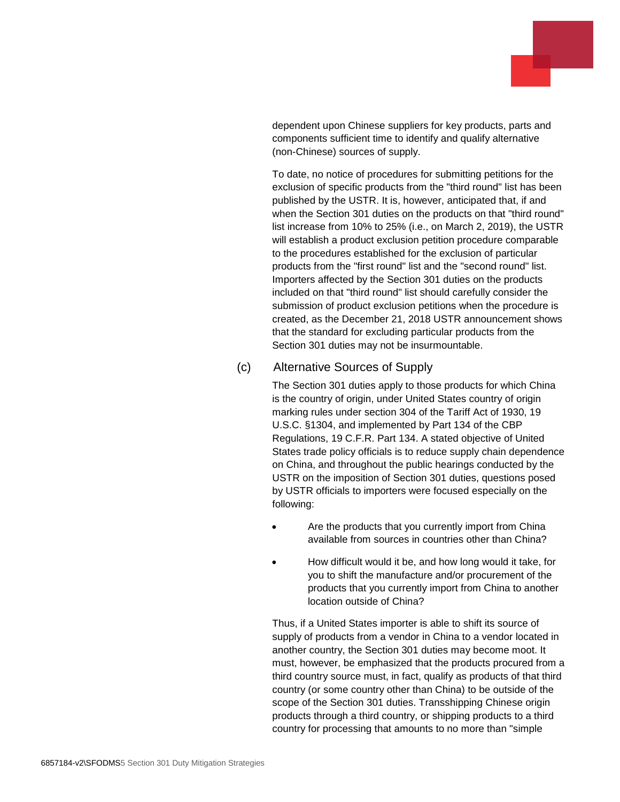dependent upon Chinese suppliers for key products, parts and components sufficient time to identify and qualify alternative (non-Chinese) sources of supply.

To date, no notice of procedures for submitting petitions for the exclusion of specific products from the "third round" list has been published by the USTR. It is, however, anticipated that, if and when the Section 301 duties on the products on that "third round" list increase from 10% to 25% (i.e., on March 2, 2019), the USTR will establish a product exclusion petition procedure comparable to the procedures established for the exclusion of particular products from the "first round" list and the "second round" list. Importers affected by the Section 301 duties on the products included on that "third round" list should carefully consider the submission of product exclusion petitions when the procedure is created, as the December 21, 2018 USTR announcement shows that the standard for excluding particular products from the Section 301 duties may not be insurmountable.

#### (c) Alternative Sources of Supply

The Section 301 duties apply to those products for which China is the country of origin, under United States country of origin marking rules under section 304 of the Tariff Act of 1930, 19 U.S.C. §1304, and implemented by Part 134 of the CBP Regulations, 19 C.F.R. Part 134. A stated objective of United States trade policy officials is to reduce supply chain dependence on China, and throughout the public hearings conducted by the USTR on the imposition of Section 301 duties, questions posed by USTR officials to importers were focused especially on the following:

- Are the products that you currently import from China available from sources in countries other than China?
- How difficult would it be, and how long would it take, for you to shift the manufacture and/or procurement of the products that you currently import from China to another location outside of China?

Thus, if a United States importer is able to shift its source of supply of products from a vendor in China to a vendor located in another country, the Section 301 duties may become moot. It must, however, be emphasized that the products procured from a third country source must, in fact, qualify as products of that third country (or some country other than China) to be outside of the scope of the Section 301 duties. Transshipping Chinese origin products through a third country, or shipping products to a third country for processing that amounts to no more than "simple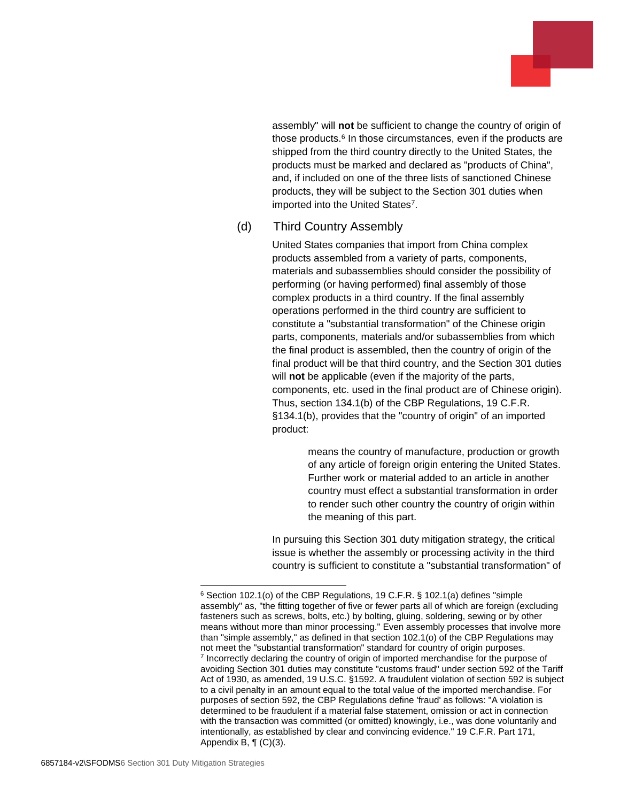

assembly" will **not** be sufficient to change the country of origin of those products.<sup>6</sup> In those circumstances, even if the products are shipped from the third country directly to the United States, the products must be marked and declared as "products of China", and, if included on one of the three lists of sanctioned Chinese products, they will be subject to the Section 301 duties when imported into the United States<sup>7</sup>.

#### (d) Third Country Assembly

United States companies that import from China complex products assembled from a variety of parts, components, materials and subassemblies should consider the possibility of performing (or having performed) final assembly of those complex products in a third country. If the final assembly operations performed in the third country are sufficient to constitute a "substantial transformation" of the Chinese origin parts, components, materials and/or subassemblies from which the final product is assembled, then the country of origin of the final product will be that third country, and the Section 301 duties will **not** be applicable (even if the majority of the parts, components, etc. used in the final product are of Chinese origin). Thus, section 134.1(b) of the CBP Regulations, 19 C.F.R. §134.1(b), provides that the "country of origin" of an imported product:

> means the country of manufacture, production or growth of any article of foreign origin entering the United States. Further work or material added to an article in another country must effect a substantial transformation in order to render such other country the country of origin within the meaning of this part.

In pursuing this Section 301 duty mitigation strategy, the critical issue is whether the assembly or processing activity in the third country is sufficient to constitute a "substantial transformation" of

<sup>6</sup> Section 102.1(o) of the CBP Regulations, 19 C.F.R. § 102.1(a) defines "simple assembly" as, "the fitting together of five or fewer parts all of which are foreign (excluding fasteners such as screws, bolts, etc.) by bolting, gluing, soldering, sewing or by other means without more than minor processing." Even assembly processes that involve more than "simple assembly," as defined in that section 102.1(o) of the CBP Regulations may not meet the "substantial transformation" standard for country of origin purposes. <sup>7</sup> Incorrectly declaring the country of origin of imported merchandise for the purpose of avoiding Section 301 duties may constitute "customs fraud" under section 592 of the Tariff Act of 1930, as amended, 19 U.S.C. §1592. A fraudulent violation of section 592 is subject to a civil penalty in an amount equal to the total value of the imported merchandise. For purposes of section 592, the CBP Regulations define 'fraud' as follows: "A violation is determined to be fraudulent if a material false statement, omission or act in connection with the transaction was committed (or omitted) knowingly, i.e., was done voluntarily and intentionally, as established by clear and convincing evidence." 19 C.F.R. Part 171, Appendix B,  $\P$  (C)(3).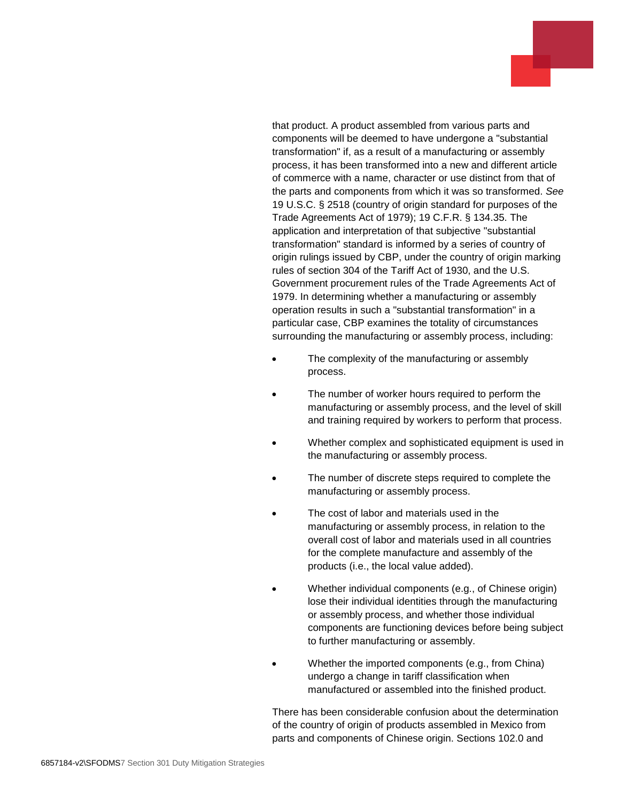that product. A product assembled from various parts and components will be deemed to have undergone a "substantial transformation" if, as a result of a manufacturing or assembly process, it has been transformed into a new and different article of commerce with a name, character or use distinct from that of the parts and components from which it was so transformed. *See* 19 U.S.C. § 2518 (country of origin standard for purposes of the Trade Agreements Act of 1979); 19 C.F.R. § 134.35. The application and interpretation of that subjective "substantial transformation" standard is informed by a series of country of origin rulings issued by CBP, under the country of origin marking rules of section 304 of the Tariff Act of 1930, and the U.S. Government procurement rules of the Trade Agreements Act of 1979. In determining whether a manufacturing or assembly operation results in such a "substantial transformation" in a particular case, CBP examines the totality of circumstances surrounding the manufacturing or assembly process, including:

- The complexity of the manufacturing or assembly process.
- The number of worker hours required to perform the manufacturing or assembly process, and the level of skill and training required by workers to perform that process.
- Whether complex and sophisticated equipment is used in the manufacturing or assembly process.
- The number of discrete steps required to complete the manufacturing or assembly process.
- The cost of labor and materials used in the manufacturing or assembly process, in relation to the overall cost of labor and materials used in all countries for the complete manufacture and assembly of the products (i.e., the local value added).
- Whether individual components (e.g., of Chinese origin) lose their individual identities through the manufacturing or assembly process, and whether those individual components are functioning devices before being subject to further manufacturing or assembly.
- Whether the imported components (e.g., from China) undergo a change in tariff classification when manufactured or assembled into the finished product.

There has been considerable confusion about the determination of the country of origin of products assembled in Mexico from parts and components of Chinese origin. Sections 102.0 and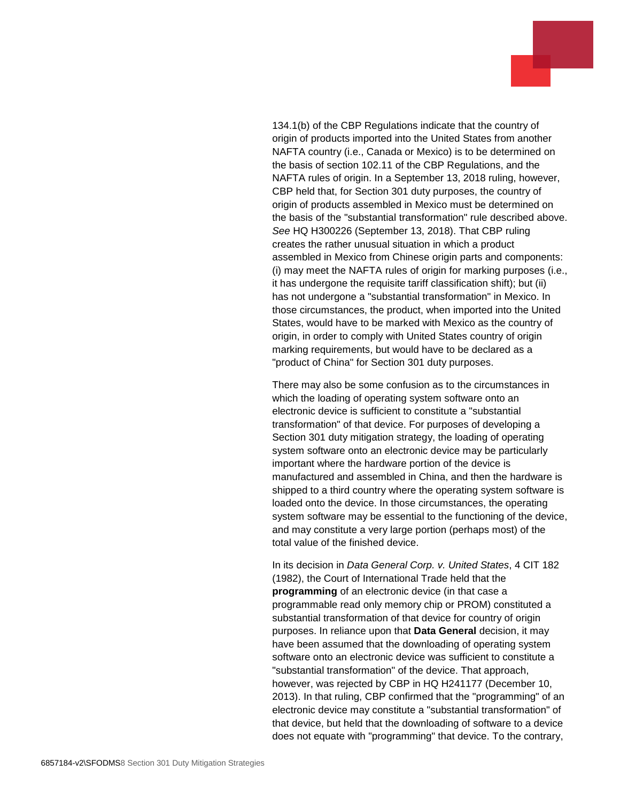134.1(b) of the CBP Regulations indicate that the country of origin of products imported into the United States from another NAFTA country (i.e., Canada or Mexico) is to be determined on the basis of section 102.11 of the CBP Regulations, and the NAFTA rules of origin. In a September 13, 2018 ruling, however, CBP held that, for Section 301 duty purposes, the country of origin of products assembled in Mexico must be determined on the basis of the "substantial transformation" rule described above. *See* HQ H300226 (September 13, 2018). That CBP ruling creates the rather unusual situation in which a product assembled in Mexico from Chinese origin parts and components: (i) may meet the NAFTA rules of origin for marking purposes (i.e., it has undergone the requisite tariff classification shift); but (ii) has not undergone a "substantial transformation" in Mexico. In those circumstances, the product, when imported into the United States, would have to be marked with Mexico as the country of origin, in order to comply with United States country of origin marking requirements, but would have to be declared as a "product of China" for Section 301 duty purposes.

There may also be some confusion as to the circumstances in which the loading of operating system software onto an electronic device is sufficient to constitute a "substantial transformation" of that device. For purposes of developing a Section 301 duty mitigation strategy, the loading of operating system software onto an electronic device may be particularly important where the hardware portion of the device is manufactured and assembled in China, and then the hardware is shipped to a third country where the operating system software is loaded onto the device. In those circumstances, the operating system software may be essential to the functioning of the device, and may constitute a very large portion (perhaps most) of the total value of the finished device.

In its decision in *Data General Corp. v. United States*, 4 CIT 182 (1982), the Court of International Trade held that the **programming** of an electronic device (in that case a programmable read only memory chip or PROM) constituted a substantial transformation of that device for country of origin purposes. In reliance upon that **Data General** decision, it may have been assumed that the downloading of operating system software onto an electronic device was sufficient to constitute a "substantial transformation" of the device. That approach, however, was rejected by CBP in HQ H241177 (December 10, 2013). In that ruling, CBP confirmed that the "programming" of an electronic device may constitute a "substantial transformation" of that device, but held that the downloading of software to a device does not equate with "programming" that device. To the contrary,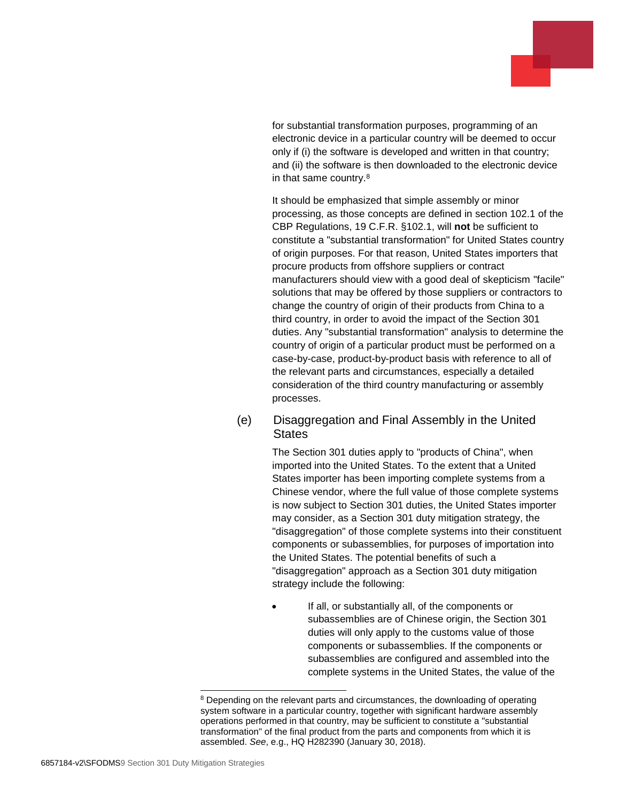

for substantial transformation purposes, programming of an electronic device in a particular country will be deemed to occur only if (i) the software is developed and written in that country; and (ii) the software is then downloaded to the electronic device in that same country.<sup>8</sup>

It should be emphasized that simple assembly or minor processing, as those concepts are defined in section 102.1 of the CBP Regulations, 19 C.F.R. §102.1, will **not** be sufficient to constitute a "substantial transformation" for United States country of origin purposes. For that reason, United States importers that procure products from offshore suppliers or contract manufacturers should view with a good deal of skepticism "facile" solutions that may be offered by those suppliers or contractors to change the country of origin of their products from China to a third country, in order to avoid the impact of the Section 301 duties. Any "substantial transformation" analysis to determine the country of origin of a particular product must be performed on a case-by-case, product-by-product basis with reference to all of the relevant parts and circumstances, especially a detailed consideration of the third country manufacturing or assembly processes.

#### (e) Disaggregation and Final Assembly in the United **States**

The Section 301 duties apply to "products of China", when imported into the United States. To the extent that a United States importer has been importing complete systems from a Chinese vendor, where the full value of those complete systems is now subject to Section 301 duties, the United States importer may consider, as a Section 301 duty mitigation strategy, the "disaggregation" of those complete systems into their constituent components or subassemblies, for purposes of importation into the United States. The potential benefits of such a "disaggregation" approach as a Section 301 duty mitigation strategy include the following:

 If all, or substantially all, of the components or subassemblies are of Chinese origin, the Section 301 duties will only apply to the customs value of those components or subassemblies. If the components or subassemblies are configured and assembled into the complete systems in the United States, the value of the

<sup>&</sup>lt;sup>8</sup> Depending on the relevant parts and circumstances, the downloading of operating system software in a particular country, together with significant hardware assembly operations performed in that country, may be sufficient to constitute a "substantial transformation" of the final product from the parts and components from which it is assembled. *See*, e.g., HQ H282390 (January 30, 2018).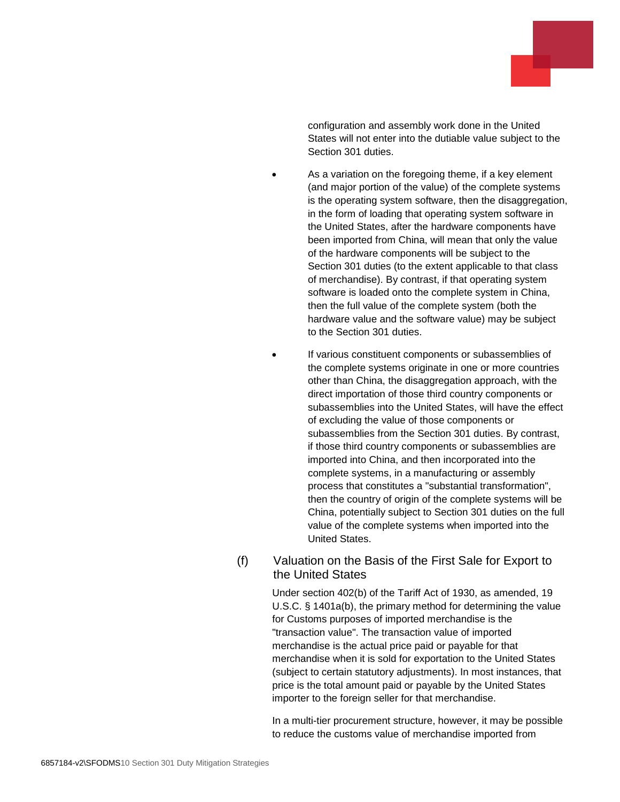

configuration and assembly work done in the United States will not enter into the dutiable value subject to the Section 301 duties.

- As a variation on the foregoing theme, if a key element (and major portion of the value) of the complete systems is the operating system software, then the disaggregation, in the form of loading that operating system software in the United States, after the hardware components have been imported from China, will mean that only the value of the hardware components will be subject to the Section 301 duties (to the extent applicable to that class of merchandise). By contrast, if that operating system software is loaded onto the complete system in China, then the full value of the complete system (both the hardware value and the software value) may be subject to the Section 301 duties.
- If various constituent components or subassemblies of the complete systems originate in one or more countries other than China, the disaggregation approach, with the direct importation of those third country components or subassemblies into the United States, will have the effect of excluding the value of those components or subassemblies from the Section 301 duties. By contrast, if those third country components or subassemblies are imported into China, and then incorporated into the complete systems, in a manufacturing or assembly process that constitutes a "substantial transformation", then the country of origin of the complete systems will be China, potentially subject to Section 301 duties on the full value of the complete systems when imported into the United States.

#### (f) Valuation on the Basis of the First Sale for Export to the United States

Under section 402(b) of the Tariff Act of 1930, as amended, 19 U.S.C. § 1401a(b), the primary method for determining the value for Customs purposes of imported merchandise is the "transaction value". The transaction value of imported merchandise is the actual price paid or payable for that merchandise when it is sold for exportation to the United States (subject to certain statutory adjustments). In most instances, that price is the total amount paid or payable by the United States importer to the foreign seller for that merchandise.

In a multi-tier procurement structure, however, it may be possible to reduce the customs value of merchandise imported from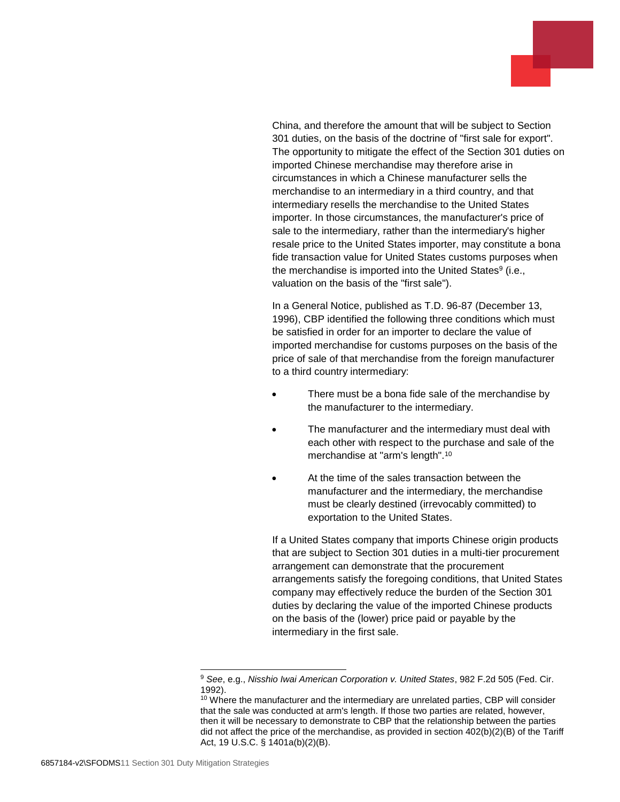China, and therefore the amount that will be subject to Section 301 duties, on the basis of the doctrine of "first sale for export". The opportunity to mitigate the effect of the Section 301 duties on imported Chinese merchandise may therefore arise in circumstances in which a Chinese manufacturer sells the merchandise to an intermediary in a third country, and that intermediary resells the merchandise to the United States importer. In those circumstances, the manufacturer's price of sale to the intermediary, rather than the intermediary's higher resale price to the United States importer, may constitute a bona fide transaction value for United States customs purposes when the merchandise is imported into the United States<sup>9</sup> (i.e., valuation on the basis of the "first sale").

In a General Notice, published as T.D. 96-87 (December 13, 1996), CBP identified the following three conditions which must be satisfied in order for an importer to declare the value of imported merchandise for customs purposes on the basis of the price of sale of that merchandise from the foreign manufacturer to a third country intermediary:

- There must be a bona fide sale of the merchandise by the manufacturer to the intermediary.
- The manufacturer and the intermediary must deal with each other with respect to the purchase and sale of the merchandise at "arm's length".<sup>10</sup>
- At the time of the sales transaction between the manufacturer and the intermediary, the merchandise must be clearly destined (irrevocably committed) to exportation to the United States.

If a United States company that imports Chinese origin products that are subject to Section 301 duties in a multi-tier procurement arrangement can demonstrate that the procurement arrangements satisfy the foregoing conditions, that United States company may effectively reduce the burden of the Section 301 duties by declaring the value of the imported Chinese products on the basis of the (lower) price paid or payable by the intermediary in the first sale.

<sup>9</sup> *See*, e.g., *Nisshio Iwai American Corporation v. United States*, 982 F.2d 505 (Fed. Cir. 1992).

<sup>&</sup>lt;sup>10</sup> Where the manufacturer and the intermediary are unrelated parties, CBP will consider that the sale was conducted at arm's length. If those two parties are related, however, then it will be necessary to demonstrate to CBP that the relationship between the parties did not affect the price of the merchandise, as provided in section 402(b)(2)(B) of the Tariff Act, 19 U.S.C. § 1401a(b)(2)(B).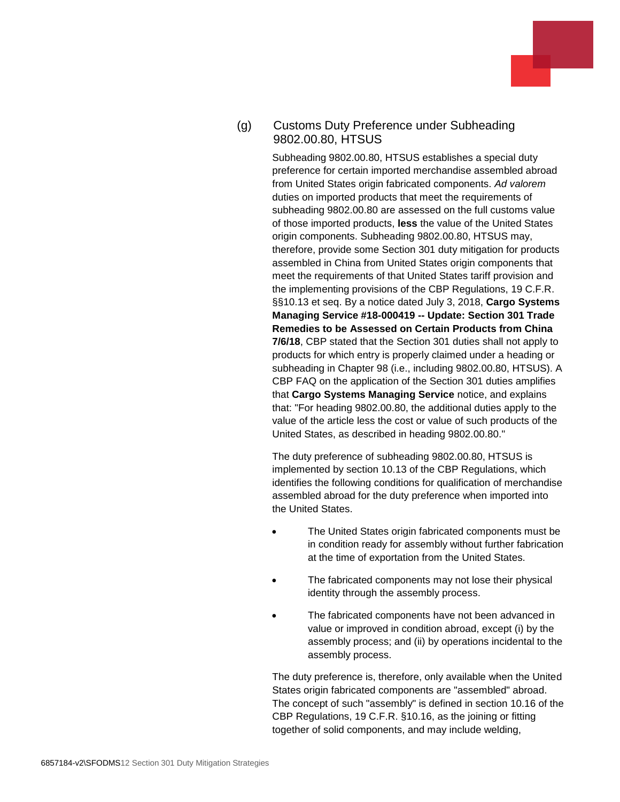#### (g) Customs Duty Preference under Subheading 9802.00.80, HTSUS

Subheading 9802.00.80, HTSUS establishes a special duty preference for certain imported merchandise assembled abroad from United States origin fabricated components. *Ad valorem* duties on imported products that meet the requirements of subheading 9802.00.80 are assessed on the full customs value of those imported products, **less** the value of the United States origin components. Subheading 9802.00.80, HTSUS may, therefore, provide some Section 301 duty mitigation for products assembled in China from United States origin components that meet the requirements of that United States tariff provision and the implementing provisions of the CBP Regulations, 19 C.F.R. §§10.13 et seq. By a notice dated July 3, 2018, **Cargo Systems Managing Service #18-000419 -- Update: Section 301 Trade Remedies to be Assessed on Certain Products from China 7/6/18**, CBP stated that the Section 301 duties shall not apply to products for which entry is properly claimed under a heading or subheading in Chapter 98 (i.e., including 9802.00.80, HTSUS). A CBP FAQ on the application of the Section 301 duties amplifies that **Cargo Systems Managing Service** notice, and explains that: "For heading 9802.00.80, the additional duties apply to the value of the article less the cost or value of such products of the United States, as described in heading 9802.00.80."

The duty preference of subheading 9802.00.80, HTSUS is implemented by section 10.13 of the CBP Regulations, which identifies the following conditions for qualification of merchandise assembled abroad for the duty preference when imported into the United States.

- The United States origin fabricated components must be in condition ready for assembly without further fabrication at the time of exportation from the United States.
- The fabricated components may not lose their physical identity through the assembly process.
- The fabricated components have not been advanced in value or improved in condition abroad, except (i) by the assembly process; and (ii) by operations incidental to the assembly process.

The duty preference is, therefore, only available when the United States origin fabricated components are "assembled" abroad. The concept of such "assembly" is defined in section 10.16 of the CBP Regulations, 19 C.F.R. §10.16, as the joining or fitting together of solid components, and may include welding,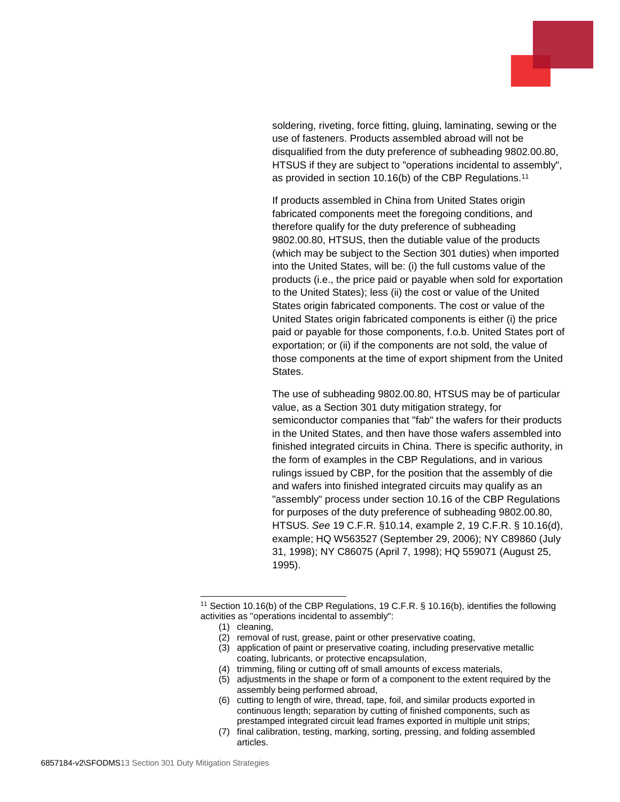soldering, riveting, force fitting, gluing, laminating, sewing or the use of fasteners. Products assembled abroad will not be disqualified from the duty preference of subheading 9802.00.80, HTSUS if they are subject to "operations incidental to assembly", as provided in section 10.16(b) of the CBP Regulations.<sup>11</sup>

If products assembled in China from United States origin fabricated components meet the foregoing conditions, and therefore qualify for the duty preference of subheading 9802.00.80, HTSUS, then the dutiable value of the products (which may be subject to the Section 301 duties) when imported into the United States, will be: (i) the full customs value of the products (i.e., the price paid or payable when sold for exportation to the United States); less (ii) the cost or value of the United States origin fabricated components. The cost or value of the United States origin fabricated components is either (i) the price paid or payable for those components, f.o.b. United States port of exportation; or (ii) if the components are not sold, the value of those components at the time of export shipment from the United States.

The use of subheading 9802.00.80, HTSUS may be of particular value, as a Section 301 duty mitigation strategy, for semiconductor companies that "fab" the wafers for their products in the United States, and then have those wafers assembled into finished integrated circuits in China. There is specific authority, in the form of examples in the CBP Regulations, and in various rulings issued by CBP, for the position that the assembly of die and wafers into finished integrated circuits may qualify as an "assembly" process under section 10.16 of the CBP Regulations for purposes of the duty preference of subheading 9802.00.80, HTSUS. *See* 19 C.F.R. §10.14, example 2, 19 C.F.R. § 10.16(d), example; HQ W563527 (September 29, 2006); NY C89860 (July 31, 1998); NY C86075 (April 7, 1998); HQ 559071 (August 25, 1995).

<sup>&</sup>lt;sup>11</sup> Section 10.16(b) of the CBP Regulations, 19 C.F.R. § 10.16(b), identifies the following activities as "operations incidental to assembly":

<sup>(1)</sup> cleaning,

<sup>(2)</sup> removal of rust, grease, paint or other preservative coating,

<sup>(3)</sup> application of paint or preservative coating, including preservative metallic coating, lubricants, or protective encapsulation,

<sup>(4)</sup> trimming, filing or cutting off of small amounts of excess materials,

<sup>(5)</sup> adjustments in the shape or form of a component to the extent required by the assembly being performed abroad,

<sup>(6)</sup> cutting to length of wire, thread, tape, foil, and similar products exported in continuous length; separation by cutting of finished components, such as prestamped integrated circuit lead frames exported in multiple unit strips;

<sup>(7)</sup> final calibration, testing, marking, sorting, pressing, and folding assembled articles.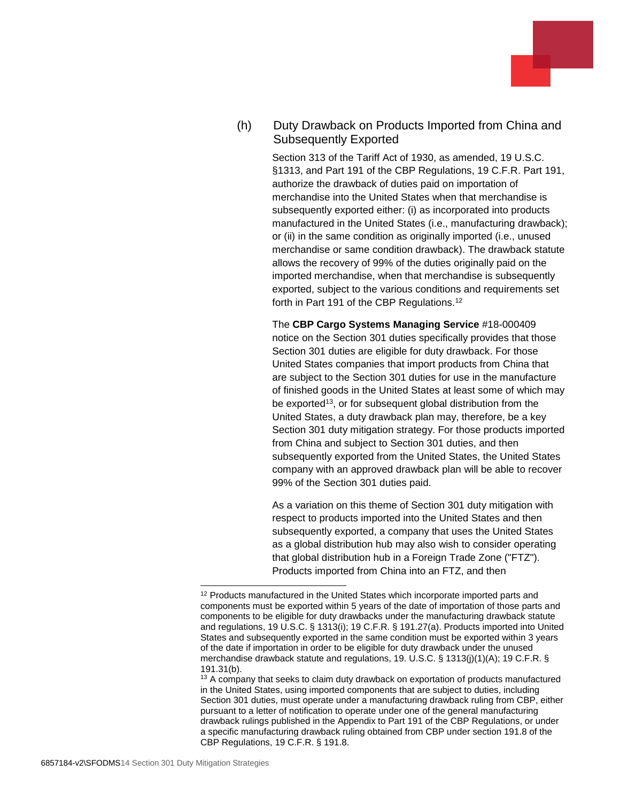#### (h) Duty Drawback on Products Imported from China and Subsequently Exported

Section 313 of the Tariff Act of 1930, as amended, 19 U.S.C. §1313, and Part 191 of the CBP Regulations, 19 C.F.R. Part 191, authorize the drawback of duties paid on importation of merchandise into the United States when that merchandise is subsequently exported either: (i) as incorporated into products manufactured in the United States (i.e., manufacturing drawback); or (ii) in the same condition as originally imported (i.e., unused merchandise or same condition drawback). The drawback statute allows the recovery of 99% of the duties originally paid on the imported merchandise, when that merchandise is subsequently exported, subject to the various conditions and requirements set forth in Part 191 of the CBP Regulations.<sup>12</sup>

The **CBP Cargo Systems Managing Service** #18-000409 notice on the Section 301 duties specifically provides that those Section 301 duties are eligible for duty drawback. For those United States companies that import products from China that are subject to the Section 301 duties for use in the manufacture of finished goods in the United States at least some of which may be exported<sup>13</sup>, or for subsequent global distribution from the United States, a duty drawback plan may, therefore, be a key Section 301 duty mitigation strategy. For those products imported from China and subject to Section 301 duties, and then subsequently exported from the United States, the United States company with an approved drawback plan will be able to recover 99% of the Section 301 duties paid.

As a variation on this theme of Section 301 duty mitigation with respect to products imported into the United States and then subsequently exported, a company that uses the United States as a global distribution hub may also wish to consider operating that global distribution hub in a Foreign Trade Zone ("FTZ"). Products imported from China into an FTZ, and then

<sup>&</sup>lt;sup>12</sup> Products manufactured in the United States which incorporate imported parts and components must be exported within 5 years of the date of importation of those parts and components to be eligible for duty drawbacks under the manufacturing drawback statute and regulations, 19 U.S.C. § 1313(i); 19 C.F.R. § 191.27(a). Products imported into United States and subsequently exported in the same condition must be exported within 3 years of the date if importation in order to be eligible for duty drawback under the unused merchandise drawback statute and regulations, 19. U.S.C. § 1313(j)(1)(A); 19 C.F.R. § 191.31(b).

<sup>&</sup>lt;sup>13</sup> A company that seeks to claim duty drawback on exportation of products manufactured in the United States, using imported components that are subject to duties, including Section 301 duties, must operate under a manufacturing drawback ruling from CBP, either pursuant to a letter of notification to operate under one of the general manufacturing drawback rulings published in the Appendix to Part 191 of the CBP Regulations, or under a specific manufacturing drawback ruling obtained from CBP under section 191.8 of the CBP Regulations, 19 C.F.R. § 191.8.